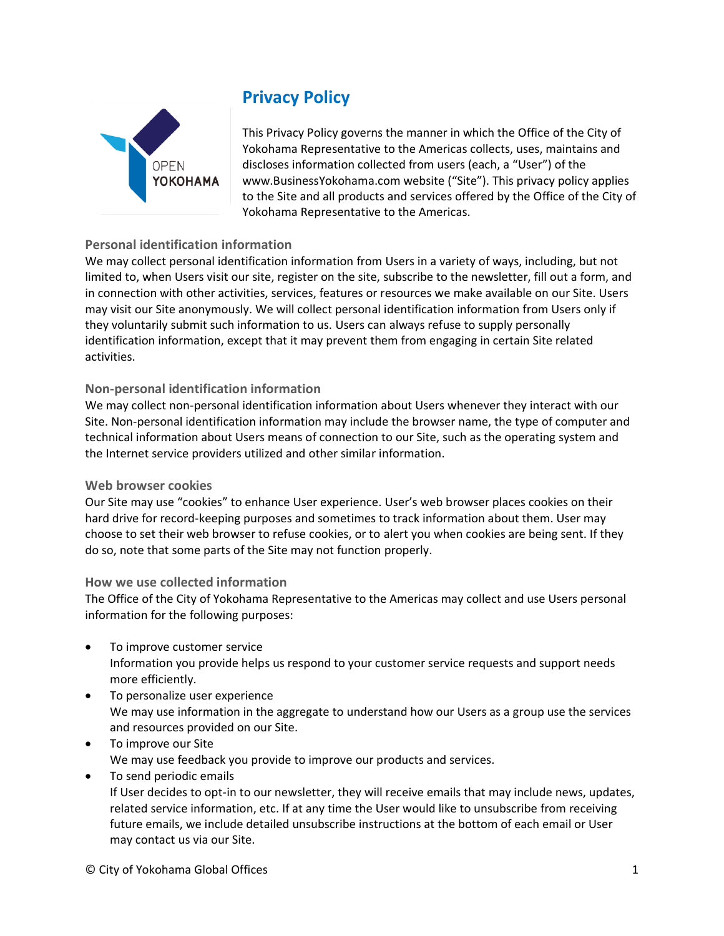

# **Privacy Policy**

This Privacy Policy governs the manner in which the Office of the City of Yokohama Representative to the Americas collects, uses, maintains and discloses information collected from users (each, a "User") of the www.BusinessYokohama.com website ("Site"). This privacy policy applies to the Site and all products and services offered by the Office of the City of Yokohama Representative to the Americas.

# **Personal identification information**

We may collect personal identification information from Users in a variety of ways, including, but not limited to, when Users visit our site, register on the site, subscribe to the newsletter, fill out a form, and in connection with other activities, services, features or resources we make available on our Site. Users may visit our Site anonymously. We will collect personal identification information from Users only if they voluntarily submit such information to us. Users can always refuse to supply personally identification information, except that it may prevent them from engaging in certain Site related activities.

# **Non-personal identification information**

We may collect non-personal identification information about Users whenever they interact with our Site. Non-personal identification information may include the browser name, the type of computer and technical information about Users means of connection to our Site, such as the operating system and the Internet service providers utilized and other similar information.

## **Web browser cookies**

Our Site may use "cookies" to enhance User experience. User's web browser places cookies on their hard drive for record-keeping purposes and sometimes to track information about them. User may choose to set their web browser to refuse cookies, or to alert you when cookies are being sent. If they do so, note that some parts of the Site may not function properly.

## **How we use collected information**

The Office of the City of Yokohama Representative to the Americas may collect and use Users personal information for the following purposes:

- To improve customer service Information you provide helps us respond to your customer service requests and support needs more efficiently.
- To personalize user experience We may use information in the aggregate to understand how our Users as a group use the services and resources provided on our Site.
- To improve our Site We may use feedback you provide to improve our products and services.
- To send periodic emails

If User decides to opt-in to our newsletter, they will receive emails that may include news, updates, related service information, etc. If at any time the User would like to unsubscribe from receiving future emails, we include detailed unsubscribe instructions at the bottom of each email or User may contact us via our Site.